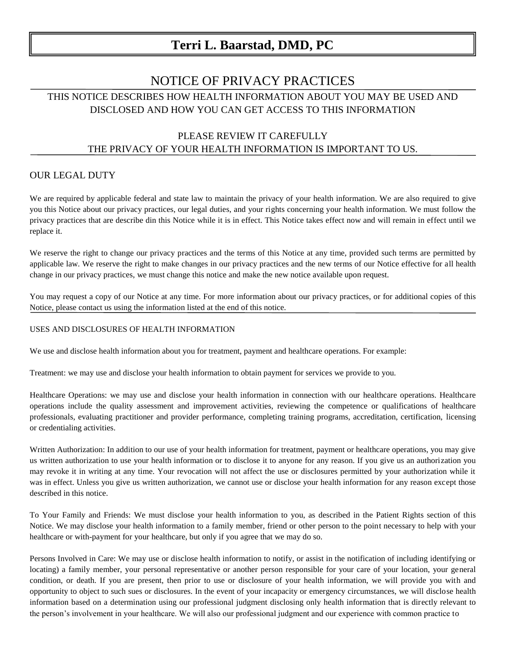## **Terri L. Baarstad, DMD, PC**

## NOTICE OF PRIVACY PRACTICES

### THIS NOTICE DESCRIBES HOW HEALTH INFORMATION ABOUT YOU MAY BE USED AND DISCLOSED AND HOW YOU CAN GET ACCESS TO THIS INFORMATION

#### PLEASE REVIEW IT CAREFULLY THE PRIVACY OF YOUR HEALTH INFORMATION IS IMPORTANT TO US.

#### OUR LEGAL DUTY

We are required by applicable federal and state law to maintain the privacy of your health information. We are also required to give you this Notice about our privacy practices, our legal duties, and your rights concerning your health information. We must follow the privacy practices that are describe din this Notice while it is in effect. This Notice takes effect now and will remain in effect until we replace it.

We reserve the right to change our privacy practices and the terms of this Notice at any time, provided such terms are permitted by applicable law. We reserve the right to make changes in our privacy practices and the new terms of our Notice effective for all health change in our privacy practices, we must change this notice and make the new notice available upon request.

You may request a copy of our Notice at any time. For more information about our privacy practices, or for additional copies of this Notice, please contact us using the information listed at the end of this notice.

#### USES AND DISCLOSURES OF HEALTH INFORMATION

We use and disclose health information about you for treatment, payment and healthcare operations. For example:

Treatment: we may use and disclose your health information to obtain payment for services we provide to you.

Healthcare Operations: we may use and disclose your health information in connection with our healthcare operations. Healthcare operations include the quality assessment and improvement activities, reviewing the competence or qualifications of healthcare professionals, evaluating practitioner and provider performance, completing training programs, accreditation, certification, licensing or credentialing activities.

Written Authorization: In addition to our use of your health information for treatment, payment or healthcare operations, you may give us written authorization to use your health information or to disclose it to anyone for any reason. If you give us an authorization you may revoke it in writing at any time. Your revocation will not affect the use or disclosures permitted by your authorization while it was in effect. Unless you give us written authorization, we cannot use or disclose your health information for any reason except those described in this notice.

To Your Family and Friends: We must disclose your health information to you, as described in the Patient Rights section of this Notice. We may disclose your health information to a family member, friend or other person to the point necessary to help with your healthcare or with-payment for your healthcare, but only if you agree that we may do so.

Persons Involved in Care: We may use or disclose health information to notify, or assist in the notification of including identifying or locating) a family member, your personal representative or another person responsible for your care of your location, your general condition, or death. If you are present, then prior to use or disclosure of your health information, we will provide you with and opportunity to object to such sues or disclosures. In the event of your incapacity or emergency circumstances, we will disclose health information based on a determination using our professional judgment disclosing only health information that is directly relevant to the person's involvement in your healthcare. We will also our professional judgment and our experience with common practice to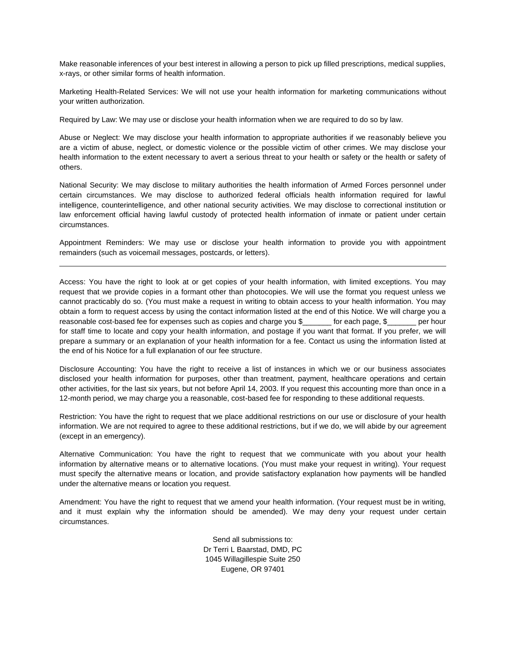Make reasonable inferences of your best interest in allowing a person to pick up filled prescriptions, medical supplies, x-rays, or other similar forms of health information.

Marketing Health-Related Services: We will not use your health information for marketing communications without your written authorization.

Required by Law: We may use or disclose your health information when we are required to do so by law.

Abuse or Neglect: We may disclose your health information to appropriate authorities if we reasonably believe you are a victim of abuse, neglect, or domestic violence or the possible victim of other crimes. We may disclose your health information to the extent necessary to avert a serious threat to your health or safety or the health or safety of others.

National Security: We may disclose to military authorities the health information of Armed Forces personnel under certain circumstances. We may disclose to authorized federal officials health information required for lawful intelligence, counterintelligence, and other national security activities. We may disclose to correctional institution or law enforcement official having lawful custody of protected health information of inmate or patient under certain circumstances.

Appointment Reminders: We may use or disclose your health information to provide you with appointment remainders (such as voicemail messages, postcards, or letters).

Access: You have the right to look at or get copies of your health information, with limited exceptions. You may request that we provide copies in a formant other than photocopies. We will use the format you request unless we cannot practicably do so. (You must make a request in writing to obtain access to your health information. You may obtain a form to request access by using the contact information listed at the end of this Notice. We will charge you a reasonable cost-based fee for expenses such as copies and charge you \$\_\_\_\_\_\_\_ for each page, \$\_\_\_\_\_\_\_ per hour for staff time to locate and copy your health information, and postage if you want that format. If you prefer, we will prepare a summary or an explanation of your health information for a fee. Contact us using the information listed at the end of his Notice for a full explanation of our fee structure.

Disclosure Accounting: You have the right to receive a list of instances in which we or our business associates disclosed your health information for purposes, other than treatment, payment, healthcare operations and certain other activities, for the last six years, but not before April 14, 2003. If you request this accounting more than once in a 12-month period, we may charge you a reasonable, cost-based fee for responding to these additional requests.

Restriction: You have the right to request that we place additional restrictions on our use or disclosure of your health information. We are not required to agree to these additional restrictions, but if we do, we will abide by our agreement (except in an emergency).

Alternative Communication: You have the right to request that we communicate with you about your health information by alternative means or to alternative locations. (You must make your request in writing). Your request must specify the alternative means or location, and provide satisfactory explanation how payments will be handled under the alternative means or location you request.

Amendment: You have the right to request that we amend your health information. (Your request must be in writing, and it must explain why the information should be amended). We may deny your request under certain circumstances.

> Send all submissions to: Dr Terri L Baarstad, DMD, PC 1045 Willagillespie Suite 250 Eugene, OR 97401